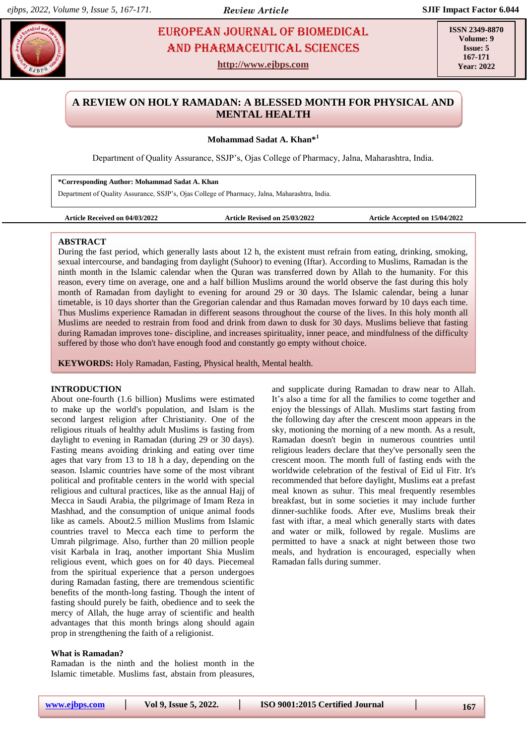# **Khang. EUROPEAN JOURNAL OF BIOMEDICAL AND RESS AND PHARMACEUTICAL SCIENCES** AND Pharmaceutical sciences

**http://www.ejbps.com**

**ISSN 2349-8870 Volume: 9 Issue: 5 167-171 Year: 2022**

# **A REVIEW ON HOLY RAMADAN: A BLESSED MONTH FOR PHYSICAL AND MENTAL HEALTH**

**Mohammad Sadat A. Khan\*<sup>1</sup>**

Department of Quality Assurance, SSJP's, Ojas College of Pharmacy, Jalna, Maharashtra, India.

**\*Corresponding Author: Mohammad Sadat A. Khan**

Department of Quality Assurance, SSJP's, Ojas College of Pharmacy, Jalna, Maharashtra, India.

```
Article Received on 04/03/2022 Article Revised on 25/03/2022 Article Accepted on 15/04/2022
```
# **ABSTRACT**

During the fast period, which generally lasts about 12 h, the existent must refrain from eating, drinking, smoking, sexual intercourse, and bandaging from daylight (Suhoor) to evening (Iftar). According to Muslims, Ramadan is the ninth month in the Islamic calendar when the Quran was transferred down by Allah to the humanity. For this reason, every time on average, one and a half billion Muslims around the world observe the fast during this holy month of Ramadan from daylight to evening for around 29 or 30 days. The Islamic calendar, being a lunar timetable, is 10 days shorter than the Gregorian calendar and thus Ramadan moves forward by 10 days each time. Thus Muslims experience Ramadan in different seasons throughout the course of the lives. In this holy month all Muslims are needed to restrain from food and drink from dawn to dusk for 30 days. Muslims believe that fasting during Ramadan improves tone- discipline, and increases spirituality, inner peace, and mindfulness of the difficulty suffered by those who don't have enough food and constantly go empty without choice.

**KEYWORDS:** Holy Ramadan, Fasting, Physical health, Mental health.

#### **INTRODUCTION**

About one-fourth (1.6 billion) Muslims were estimated to make up the world's population, and Islam is the second largest religion after Christianity. One of the religious rituals of healthy adult Muslims is fasting from daylight to evening in Ramadan (during 29 or 30 days). Fasting means avoiding drinking and eating over time ages that vary from 13 to 18 h a day, depending on the season. Islamic countries have some of the most vibrant political and profitable centers in the world with special religious and cultural practices, like as the annual Hajj of Mecca in Saudi Arabia, the pilgrimage of Imam Reza in Mashhad, and the consumption of unique animal foods like as camels. About2.5 million Muslims from Islamic countries travel to Mecca each time to perform the Umrah pilgrimage. Also, further than 20 million people visit Karbala in Iraq, another important Shia Muslim religious event, which goes on for 40 days. Piecemeal from the spiritual experience that a person undergoes during Ramadan fasting, there are tremendous scientific benefits of the month-long fasting. Though the intent of fasting should purely be faith, obedience and to seek the mercy of Allah, the huge array of scientific and health advantages that this month brings along should again prop in strengthening the faith of a religionist.

# **What is Ramadan?**

Ramadan is the ninth and the holiest month in the Islamic timetable. Muslims fast, abstain from pleasures, and supplicate during Ramadan to draw near to Allah. It's also a time for all the families to come together and enjoy the blessings of Allah. Muslims start fasting from the following day after the crescent moon appears in the sky, motioning the morning of a new month. As a result, Ramadan doesn't begin in numerous countries until religious leaders declare that they've personally seen the crescent moon. The month full of fasting ends with the worldwide celebration of the festival of Eid ul Fitr. It's recommended that before daylight, Muslims eat a prefast meal known as suhur. This meal frequently resembles breakfast, but in some societies it may include further dinner-suchlike foods. After eve, Muslims break their fast with iftar, a meal which generally starts with dates and water or milk, followed by regale. Muslims are permitted to have a snack at night between those two meals, and hydration is encouraged, especially when Ramadan falls during summer.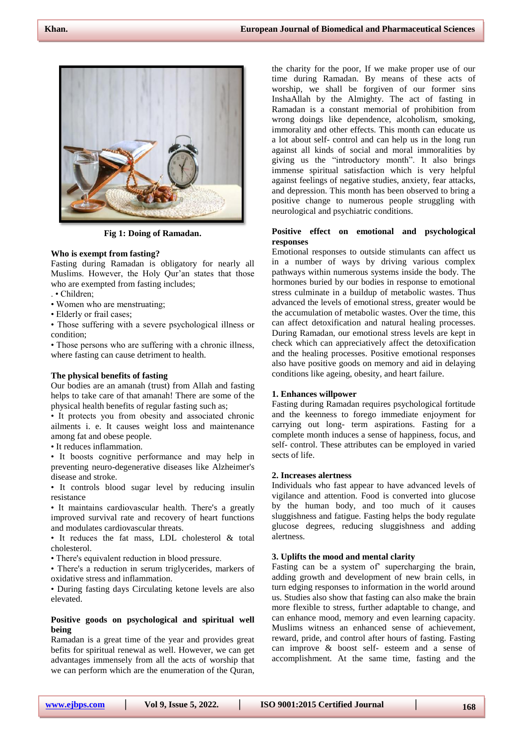

**Fig 1: Doing of Ramadan.**

## **Who is exempt from fasting?**

Fasting during Ramadan is obligatory for nearly all Muslims. However, the Holy Qur'an states that those who are exempted from fasting includes;

- . Children;
- Women who are menstruating;
- Elderly or frail cases;

• Those suffering with a severe psychological illness or condition;

• Those persons who are suffering with a chronic illness, where fasting can cause detriment to health.

#### **The physical benefits of fasting**

Our bodies are an amanah (trust) from Allah and fasting helps to take care of that amanah! There are some of the physical health benefits of regular fasting such as;

• It protects you from obesity and associated chronic ailments i. e. It causes weight loss and maintenance among fat and obese people.

• It reduces inflammation.

• It boosts cognitive performance and may help in preventing neuro-degenerative diseases like Alzheimer's disease and stroke.

• It controls blood sugar level by reducing insulin resistance

• It maintains cardiovascular health. There's a greatly improved survival rate and recovery of heart functions and modulates cardiovascular threats.

• It reduces the fat mass, LDL cholesterol & total cholesterol.

• There's equivalent reduction in blood pressure.

• There's a reduction in serum triglycerides, markers of oxidative stress and inflammation.

• During fasting days Circulating ketone levels are also elevated.

#### **Positive goods on psychological and spiritual well being**

Ramadan is a great time of the year and provides great befits for spiritual renewal as well. However, we can get advantages immensely from all the acts of worship that we can perform which are the enumeration of the Quran,

the charity for the poor, If we make proper use of our time during Ramadan. By means of these acts of worship, we shall be forgiven of our former sins InshaAllah by the Almighty. The act of fasting in Ramadan is a constant memorial of prohibition from wrong doings like dependence, alcoholism, smoking, immorality and other effects. This month can educate us a lot about self- control and can help us in the long run against all kinds of social and moral immoralities by giving us the "introductory month". It also brings immense spiritual satisfaction which is very helpful against feelings of negative studies, anxiety, fear attacks, and depression. This month has been observed to bring a positive change to numerous people struggling with neurological and psychiatric conditions.

# **Positive effect on emotional and psychological responses**

Emotional responses to outside stimulants can affect us in a number of ways by driving various complex pathways within numerous systems inside the body. The hormones buried by our bodies in response to emotional stress culminate in a buildup of metabolic wastes. Thus advanced the levels of emotional stress, greater would be the accumulation of metabolic wastes. Over the time, this can affect detoxification and natural healing processes. During Ramadan, our emotional stress levels are kept in check which can appreciatively affect the detoxification and the healing processes. Positive emotional responses also have positive goods on memory and aid in delaying conditions like ageing, obesity, and heart failure.

#### **1. Enhances willpower**

Fasting during Ramadan requires psychological fortitude and the keenness to forego immediate enjoyment for carrying out long- term aspirations. Fasting for a complete month induces a sense of happiness, focus, and self- control. These attributes can be employed in varied sects of life.

#### **2. Increases alertness**

Individuals who fast appear to have advanced levels of vigilance and attention. Food is converted into glucose by the human body, and too much of it causes sluggishness and fatigue. Fasting helps the body regulate glucose degrees, reducing sluggishness and adding alertness.

#### **3. Uplifts the mood and mental clarity**

Fasting can be a system of' supercharging the brain, adding growth and development of new brain cells, in turn edging responses to information in the world around us. Studies also show that fasting can also make the brain more flexible to stress, further adaptable to change, and can enhance mood, memory and even learning capacity. Muslims witness an enhanced sense of achievement, reward, pride, and control after hours of fasting. Fasting can improve & boost self- esteem and a sense of accomplishment. At the same time, fasting and the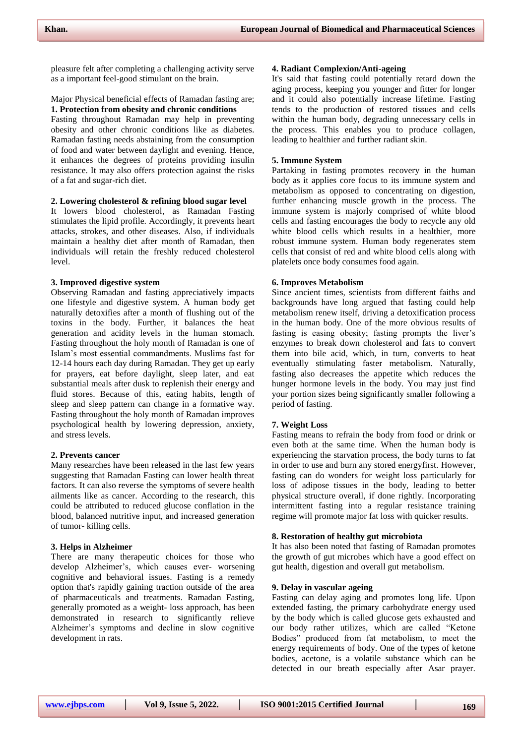pleasure felt after completing a challenging activity serve as a important feel-good stimulant on the brain.

#### Major Physical beneficial effects of Ramadan fasting are; **1. Protection from obesity and chronic conditions**

Fasting throughout Ramadan may help in preventing obesity and other chronic conditions like as diabetes. Ramadan fasting needs abstaining from the consumption of food and water between daylight and evening. Hence, it enhances the degrees of proteins providing insulin resistance. It may also offers protection against the risks of a fat and sugar-rich diet.

# **2. Lowering cholesterol & refining blood sugar level**

It lowers blood cholesterol, as Ramadan Fasting stimulates the lipid profile. Accordingly, it prevents heart attacks, strokes, and other diseases. Also, if individuals maintain a healthy diet after month of Ramadan, then individuals will retain the freshly reduced cholesterol level.

#### **3. Improved digestive system**

Observing Ramadan and fasting appreciatively impacts one lifestyle and digestive system. A human body get naturally detoxifies after a month of flushing out of the toxins in the body. Further, it balances the heat generation and acidity levels in the human stomach. Fasting throughout the holy month of Ramadan is one of Islam's most essential commandments. Muslims fast for 12-14 hours each day during Ramadan. They get up early for prayers, eat before daylight, sleep later, and eat substantial meals after dusk to replenish their energy and fluid stores. Because of this, eating habits, length of sleep and sleep pattern can change in a formative way. Fasting throughout the holy month of Ramadan improves psychological health by lowering depression, anxiety, and stress levels.

#### **2. Prevents cancer**

Many researches have been released in the last few years suggesting that Ramadan Fasting can lower health threat factors. It can also reverse the symptoms of severe health ailments like as cancer. According to the research, this could be attributed to reduced glucose conflation in the blood, balanced nutritive input, and increased generation of tumor- killing cells.

#### **3. Helps in Alzheimer**

There are many therapeutic choices for those who develop Alzheimer's, which causes ever- worsening cognitive and behavioral issues. Fasting is a remedy option that's rapidly gaining traction outside of the area of pharmaceuticals and treatments. Ramadan Fasting, generally promoted as a weight- loss approach, has been demonstrated in research to significantly relieve Alzheimer's symptoms and decline in slow cognitive development in rats.

#### **4. Radiant Complexion/Anti-ageing**

It's said that fasting could potentially retard down the aging process, keeping you younger and fitter for longer and it could also potentially increase lifetime. Fasting tends to the production of restored tissues and cells within the human body, degrading unnecessary cells in the process. This enables you to produce collagen, leading to healthier and further radiant skin.

#### **5. Immune System**

Partaking in fasting promotes recovery in the human body as it applies core focus to its immune system and metabolism as opposed to concentrating on digestion, further enhancing muscle growth in the process. The immune system is majorly comprised of white blood cells and fasting encourages the body to recycle any old white blood cells which results in a healthier, more robust immune system. Human body regenerates stem cells that consist of red and white blood cells along with platelets once body consumes food again.

#### **6. Improves Metabolism**

Since ancient times, scientists from different faiths and backgrounds have long argued that fasting could help metabolism renew itself, driving a detoxification process in the human body. One of the more obvious results of fasting is easing obesity; fasting prompts the liver's enzymes to break down cholesterol and fats to convert them into bile acid, which, in turn, converts to heat eventually stimulating faster metabolism. Naturally, fasting also decreases the appetite which reduces the hunger hormone levels in the body. You may just find your portion sizes being significantly smaller following a period of fasting.

#### **7. Weight Loss**

Fasting means to refrain the body from food or drink or even both at the same time. When the human body is experiencing the starvation process, the body turns to fat in order to use and burn any stored energyfirst. However, fasting can do wonders for weight loss particularly for loss of adipose tissues in the body, leading to better physical structure overall, if done rightly. Incorporating intermittent fasting into a regular resistance training regime will promote major fat loss with quicker results.

## **8. Restoration of healthy gut microbiota**

It has also been noted that fasting of Ramadan promotes the growth of gut microbes which have a good effect on gut health, digestion and overall gut metabolism.

#### **9. Delay in vascular ageing**

Fasting can delay aging and promotes long life. Upon extended fasting, the primary carbohydrate energy used by the body which is called glucose gets exhausted and our body rather utilizes, which are called "Ketone Bodies" produced from fat metabolism, to meet the energy requirements of body. One of the types of ketone bodies, acetone, is a volatile substance which can be detected in our breath especially after Asar prayer.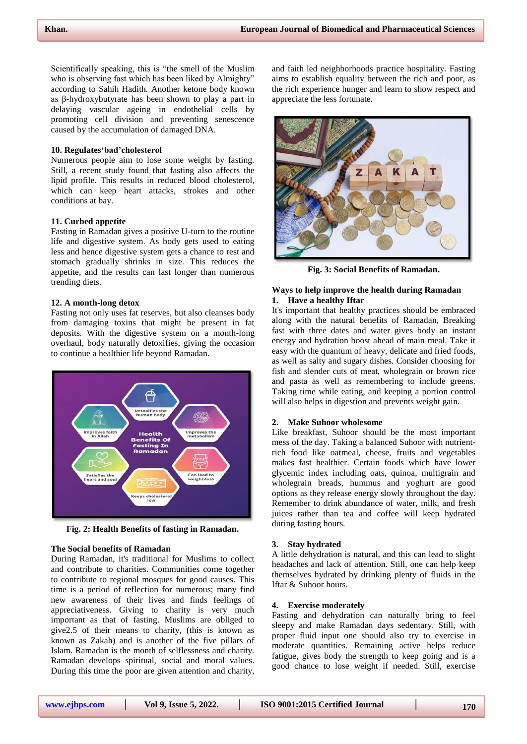Scientifically speaking, this is "the smell of the Muslim who is observing fast which has been liked by Almighty" according to Sahih Hadith. Another ketone body known as β-hydroxybutyrate has been shown to play a part in delaying vascular ageing in endothelial cells by promoting cell division and preventing senescence caused by the accumulation of damaged DNA.

# **10. Regulates'bad'cholesterol**

Numerous people aim to lose some weight by fasting. Still, a recent study found that fasting also affects the lipid profile. This results in reduced blood cholesterol, which can keep heart attacks, strokes and other conditions at bay.

# **11. Curbed appetite**

Fasting in Ramadan gives a positive U-turn to the routine life and digestive system. As body gets used to eating less and hence digestive system gets a chance to rest and stomach gradually shrinks in size. This reduces the appetite, and the results can last longer than numerous trending diets.

#### **12. A month-long detox**

Fasting not only uses fat reserves, but also cleanses body from damaging toxins that might be present in fat deposits. With the digestive system on a month-long overhaul, body naturally detoxifies, giving the occasion to continue a healthier life beyond Ramadan.



**Fig. 2: Health Benefits of fasting in Ramadan.**

# **The Social benefits of Ramadan**

During Ramadan, it's traditional for Muslims to collect and contribute to charities. Communities come together to contribute to regional mosques for good causes. This time is a period of reflection for numerous; many find new awareness of their lives and finds feelings of appreciativeness. Giving to charity is very much important as that of fasting. Muslims are obliged to give2.5 of their means to charity, (this is known as known as Zakah) and is another of the five pillars of Islam. Ramadan is the month of selflessness and charity. Ramadan develops spiritual, social and moral values. During this time the poor are given attention and charity,

and faith led neighborhoods practice hospitality. Fasting aims to establish equality between the rich and poor, as the rich experience hunger and learn to show respect and appreciate the less fortunate.



**Fig. 3: Social Benefits of Ramadan.**

# **Ways to help improve the health during Ramadan 1. Have a healthy Iftar**

It's important that healthy practices should be embraced along with the natural benefits of Ramadan, Breaking fast with three dates and water gives body an instant energy and hydration boost ahead of main meal. Take it easy with the quantum of heavy, delicate and fried foods, as well as salty and sugary dishes. Consider choosing for fish and slender cuts of meat, wholegrain or brown rice and pasta as well as remembering to include greens. Taking time while eating, and keeping a portion control will also helps in digestion and prevents weight gain.

# **2. Make Suhoor wholesome**

Like breakfast, Suhoor should be the most important mess of the day. Taking a balanced Suhoor with nutrientrich food like oatmeal, cheese, fruits and vegetables makes fast healthier. Certain foods which have lower glycemic index including oats, quinoa, multigrain and wholegrain breads, hummus and yoghurt are good options as they release energy slowly throughout the day. Remember to drink abundance of water, milk, and fresh juices rather than tea and coffee will keep hydrated during fasting hours.

#### **3. Stay hydrated**

A little dehydration is natural, and this can lead to slight headaches and lack of attention. Still, one can help keep themselves hydrated by drinking plenty of fluids in the Iftar & Suhoor hours.

# **4. Exercise moderately**

Fasting and dehydration can naturally bring to feel sleepy and make Ramadan days sedentary. Still, with proper fluid input one should also try to exercise in moderate quantities. Remaining active helps reduce fatigue, gives body the strength to keep going and is a good chance to lose weight if needed. Still, exercise